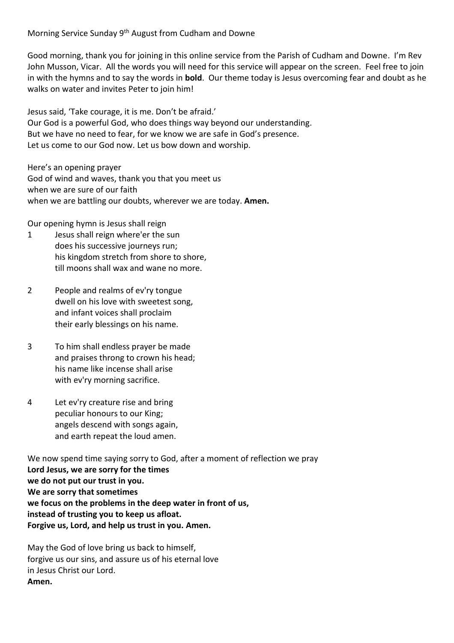Morning Service Sunday 9<sup>th</sup> August from Cudham and Downe

Good morning, thank you for joining in this online service from the Parish of Cudham and Downe. I'm Rev John Musson, Vicar. All the words you will need for this service will appear on the screen. Feel free to join in with the hymns and to say the words in **bold**. Our theme today is Jesus overcoming fear and doubt as he walks on water and invites Peter to join him!

Jesus said, 'Take courage, it is me. Don't be afraid.' Our God is a powerful God, who does things way beyond our understanding. But we have no need to fear, for we know we are safe in God's presence. Let us come to our God now. Let us bow down and worship.

Here's an opening prayer God of wind and waves, thank you that you meet us when we are sure of our faith when we are battling our doubts, wherever we are today. **Amen.**

Our opening hymn is Jesus shall reign

- 1 Jesus shall reign where'er the sun does his successive journeys run; his kingdom stretch from shore to shore, till moons shall wax and wane no more.
- 2 People and realms of ev'ry tongue dwell on his love with sweetest song, and infant voices shall proclaim their early blessings on his name.
- 3 To him shall endless prayer be made and praises throng to crown his head; his name like incense shall arise with ev'ry morning sacrifice.
- 4 Let ev'ry creature rise and bring peculiar honours to our King; angels descend with songs again, and earth repeat the loud amen.

We now spend time saying sorry to God, after a moment of reflection we pray **Lord Jesus, we are sorry for the times we do not put our trust in you. We are sorry that sometimes we focus on the problems in the deep water in front of us, instead of trusting you to keep us afloat. Forgive us, Lord, and help us trust in you. Amen.**

May the God of love bring us back to himself, forgive us our sins, and assure us of his eternal love in Jesus Christ our Lord. **Amen.**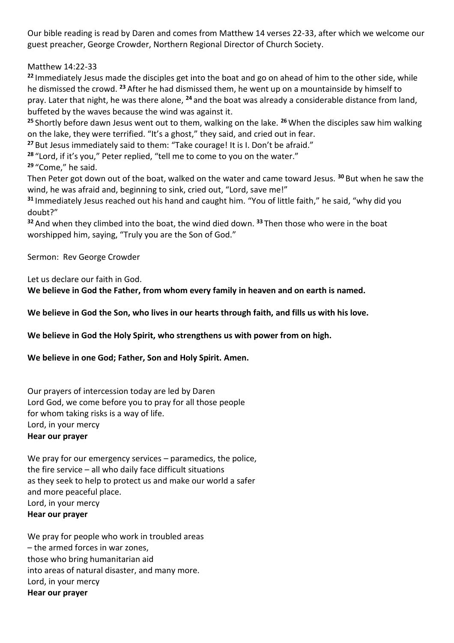Our bible reading is read by Daren and comes from Matthew 14 verses 22-33, after which we welcome our guest preacher, George Crowder, Northern Regional Director of Church Society.

Matthew 14:22-33

**<sup>22</sup>** Immediately Jesus made the disciples get into the boat and go on ahead of him to the other side, while he dismissed the crowd. **<sup>23</sup>** After he had dismissed them, he went up on a mountainside by himself to pray. Later that night, he was there alone, **<sup>24</sup>** and the boat was already a considerable distance from land, buffeted by the waves because the wind was against it.

**<sup>25</sup>** Shortly before dawn Jesus went out to them, walking on the lake. **<sup>26</sup>** When the disciples saw him walking on the lake, they were terrified. "It's a ghost," they said, and cried out in fear.

**<sup>27</sup>** But Jesus immediately said to them: "Take courage! It is I. Don't be afraid."

**<sup>28</sup>** "Lord, if it's you," Peter replied, "tell me to come to you on the water."

**<sup>29</sup>** "Come," he said.

Then Peter got down out of the boat, walked on the water and came toward Jesus. **<sup>30</sup>** But when he saw the wind, he was afraid and, beginning to sink, cried out, "Lord, save me!"

**<sup>31</sup>** Immediately Jesus reached out his hand and caught him. "You of little faith," he said, "why did you doubt?"

**<sup>32</sup>** And when they climbed into the boat, the wind died down. **<sup>33</sup>** Then those who were in the boat worshipped him, saying, "Truly you are the Son of God."

Sermon: Rev George Crowder

Let us declare our faith in God.

**We believe in God the Father, from whom every family in heaven and on earth is named.**

**We believe in God the Son, who lives in our hearts through faith, and fills us with his love.**

**We believe in God the Holy Spirit, who strengthens us with power from on high.**

**We believe in one God; Father, Son and Holy Spirit. Amen.**

Our prayers of intercession today are led by Daren Lord God, we come before you to pray for all those people for whom taking risks is a way of life. Lord, in your mercy **Hear our prayer**

We pray for our emergency services – paramedics, the police, the fire service – all who daily face difficult situations as they seek to help to protect us and make our world a safer and more peaceful place. Lord, in your mercy **Hear our prayer**

We pray for people who work in troubled areas – the armed forces in war zones, those who bring humanitarian aid into areas of natural disaster, and many more. Lord, in your mercy **Hear our prayer**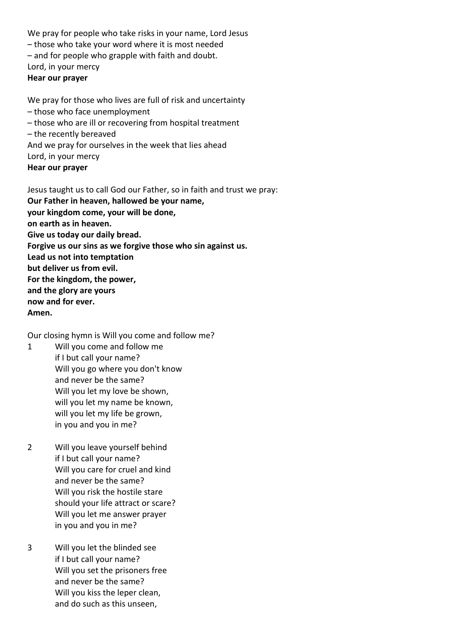We pray for people who take risks in your name, Lord Jesus – those who take your word where it is most needed – and for people who grapple with faith and doubt. Lord, in your mercy **Hear our prayer**

We pray for those who lives are full of risk and uncertainty – those who face unemployment – those who are ill or recovering from hospital treatment – the recently bereaved And we pray for ourselves in the week that lies ahead Lord, in your mercy **Hear our prayer**

Jesus taught us to call God our Father, so in faith and trust we pray: **Our Father in heaven, hallowed be your name, your kingdom come, your will be done, on earth as in heaven. Give us today our daily bread. Forgive us our sins as we forgive those who sin against us. Lead us not into temptation but deliver us from evil. For the kingdom, the power, and the glory are yours now and for ever. Amen.**

Our closing hymn is Will you come and follow me?

- 1 Will you come and follow me if I but call your name? Will you go where you don't know and never be the same? Will you let my love be shown, will you let my name be known, will you let my life be grown, in you and you in me?
- 2 Will you leave yourself behind if I but call your name? Will you care for cruel and kind and never be the same? Will you risk the hostile stare should your life attract or scare? Will you let me answer prayer in you and you in me?
- 3 Will you let the blinded see if I but call your name? Will you set the prisoners free and never be the same? Will you kiss the leper clean, and do such as this unseen,